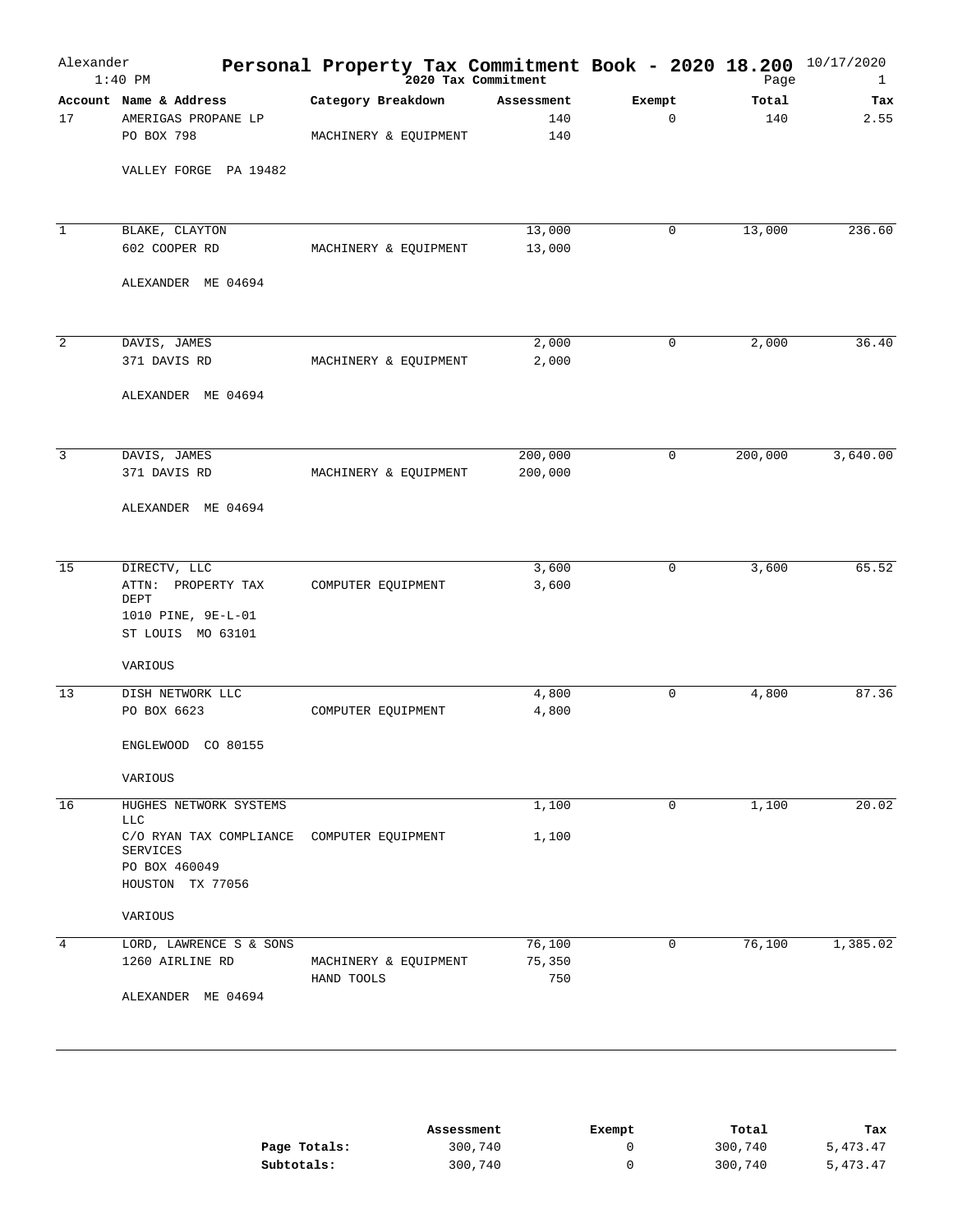| Alexander      | $1:40$ PM                                                                                          | Personal Property Tax Commitment Book - 2020 18.200<br><sup>2020</sup> Tax Commitment |                          |                       | Page         | 10/17/2020<br>1 |
|----------------|----------------------------------------------------------------------------------------------------|---------------------------------------------------------------------------------------|--------------------------|-----------------------|--------------|-----------------|
| 17             | Account Name & Address<br>AMERIGAS PROPANE LP<br>PO BOX 798                                        | Category Breakdown<br>MACHINERY & EQUIPMENT                                           | Assessment<br>140<br>140 | Exempt<br>$\mathbf 0$ | Total<br>140 | Tax<br>2.55     |
|                | VALLEY FORGE PA 19482                                                                              |                                                                                       |                          |                       |              |                 |
| $\mathbf{1}$   | BLAKE, CLAYTON<br>602 COOPER RD                                                                    | MACHINERY & EQUIPMENT                                                                 | 13,000<br>13,000         | 0                     | 13,000       | 236.60          |
|                | ALEXANDER ME 04694                                                                                 |                                                                                       |                          |                       |              |                 |
| 2              | DAVIS, JAMES<br>371 DAVIS RD<br>ALEXANDER ME 04694                                                 | MACHINERY & EQUIPMENT                                                                 | 2,000<br>2,000           | 0                     | 2,000        | 36.40           |
|                |                                                                                                    |                                                                                       |                          | $\mathbf 0$           | 200,000      |                 |
| $\overline{3}$ | DAVIS, JAMES<br>371 DAVIS RD<br>ALEXANDER ME 04694                                                 | MACHINERY & EQUIPMENT                                                                 | 200,000<br>200,000       |                       |              | 3,640.00        |
|                |                                                                                                    |                                                                                       |                          |                       |              |                 |
| 15             | DIRECTV, LLC<br>PROPERTY TAX<br>ATTN:<br>DEPT<br>1010 PINE, 9E-L-01<br>ST LOUIS MO 63101           | COMPUTER EQUIPMENT                                                                    | 3,600<br>3,600           | $\mathbf 0$           | 3,600        | 65.52           |
|                | VARIOUS                                                                                            |                                                                                       |                          |                       |              |                 |
| 13             | DISH NETWORK LLC<br>PO BOX 6623<br>ENGLEWOOD<br>CO 80155                                           | COMPUTER EQUIPMENT                                                                    | 4,800<br>4,800           | 0                     | 4,800        | 87.36           |
|                | VARIOUS                                                                                            |                                                                                       |                          |                       |              |                 |
| 16             | HUGHES NETWORK SYSTEMS<br><b>LLC</b>                                                               |                                                                                       | 1,100                    | 0                     | 1,100        | 20.02           |
|                | C/O RYAN TAX COMPLIANCE COMPUTER EQUIPMENT<br><b>SERVICES</b><br>PO BOX 460049<br>HOUSTON TX 77056 |                                                                                       | 1,100                    |                       |              |                 |
|                | VARIOUS                                                                                            |                                                                                       |                          |                       |              |                 |
| 4              | LORD, LAWRENCE S & SONS<br>1260 AIRLINE RD<br>ALEXANDER ME 04694                                   | MACHINERY & EQUIPMENT<br>HAND TOOLS                                                   | 76,100<br>75,350<br>750  | 0                     | 76,100       | 1,385.02        |
|                |                                                                                                    |                                                                                       |                          |                       |              |                 |

|              | Assessment | Exempt | Total   | Tax      |
|--------------|------------|--------|---------|----------|
| Page Totals: | 300,740    |        | 300,740 | 5,473.47 |
| Subtotals:   | 300,740    |        | 300,740 | 5,473.47 |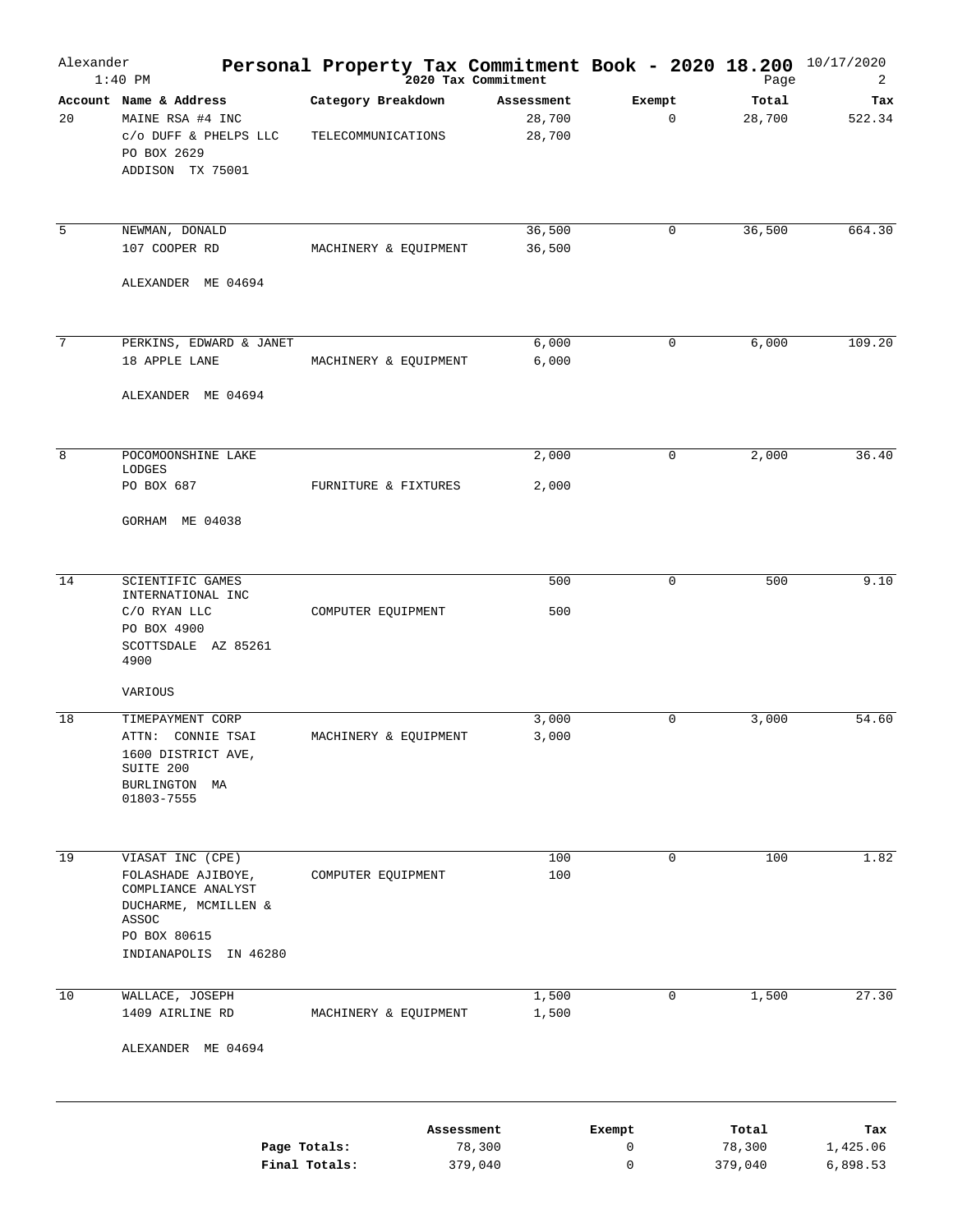| Alexander       | $1:40$ PM                                                                                              | <b>Personal Property Tax Commitment Book - 2020 18.200</b> $^{10/17/2020}$<br><sup>2020</sup> Tax Commitment |                                |                        |                   |                      |
|-----------------|--------------------------------------------------------------------------------------------------------|--------------------------------------------------------------------------------------------------------------|--------------------------------|------------------------|-------------------|----------------------|
| 20              | Account Name & Address<br>MAINE RSA #4 INC<br>c/o DUFF & PHELPS LLC<br>PO BOX 2629<br>ADDISON TX 75001 | Category Breakdown<br>TELECOMMUNICATIONS                                                                     | Assessment<br>28,700<br>28,700 | Exempt<br>$\mathbf{0}$ | Total<br>28,700   | Tax<br>522.34        |
| 5               | NEWMAN, DONALD<br>107 COOPER RD                                                                        | MACHINERY & EQUIPMENT                                                                                        | 36,500<br>36,500               | 0                      | 36,500            | 664.30               |
|                 | ALEXANDER ME 04694                                                                                     |                                                                                                              |                                |                        |                   |                      |
| $7\phantom{.0}$ |                                                                                                        |                                                                                                              |                                |                        |                   |                      |
|                 | PERKINS, EDWARD & JANET<br>18 APPLE LANE                                                               | MACHINERY & EQUIPMENT                                                                                        | 6,000<br>6,000                 | 0                      | 6,000             | 109.20               |
|                 | ALEXANDER ME 04694                                                                                     |                                                                                                              |                                |                        |                   |                      |
| 8               | POCOMOONSHINE LAKE                                                                                     |                                                                                                              | 2,000                          | 0                      | 2,000             | 36.40                |
|                 | LODGES<br>PO BOX 687                                                                                   | FURNITURE & FIXTURES                                                                                         | 2,000                          |                        |                   |                      |
|                 | GORHAM ME 04038                                                                                        |                                                                                                              |                                |                        |                   |                      |
|                 |                                                                                                        |                                                                                                              |                                |                        |                   |                      |
| 14              | SCIENTIFIC GAMES<br>INTERNATIONAL INC<br>C/O RYAN LLC                                                  | COMPUTER EQUIPMENT                                                                                           | 500<br>500                     | 0                      | 500               | 9.10                 |
|                 | PO BOX 4900<br>SCOTTSDALE AZ 85261<br>4900                                                             |                                                                                                              |                                |                        |                   |                      |
|                 | VARIOUS                                                                                                |                                                                                                              |                                |                        |                   |                      |
| 18              | TIMEPAYMENT CORP                                                                                       |                                                                                                              | 3,000                          | 0                      | 3,000             | 54.60                |
|                 | ATTN: CONNIE TSAI<br>1600 DISTRICT AVE,<br>SUITE 200<br>BURLINGTON MA<br>01803-7555                    | MACHINERY & EQUIPMENT                                                                                        | 3,000                          |                        |                   |                      |
|                 |                                                                                                        |                                                                                                              |                                |                        |                   |                      |
| 19              | VIASAT INC (CPE)                                                                                       |                                                                                                              | 100                            | $\mathbf 0$            | 100               | 1.82                 |
|                 | FOLASHADE AJIBOYE,<br>COMPLIANCE ANALYST                                                               | COMPUTER EQUIPMENT                                                                                           | 100                            |                        |                   |                      |
|                 | DUCHARME, MCMILLEN &<br>ASSOC                                                                          |                                                                                                              |                                |                        |                   |                      |
|                 | PO BOX 80615                                                                                           |                                                                                                              |                                |                        |                   |                      |
|                 | INDIANAPOLIS IN 46280                                                                                  |                                                                                                              |                                |                        |                   |                      |
| 10              | WALLACE, JOSEPH                                                                                        |                                                                                                              | 1,500                          | 0                      | 1,500             | 27.30                |
|                 | 1409 AIRLINE RD                                                                                        | MACHINERY & EQUIPMENT                                                                                        | 1,500                          |                        |                   |                      |
|                 | ALEXANDER ME 04694                                                                                     |                                                                                                              |                                |                        |                   |                      |
|                 |                                                                                                        | Assessment                                                                                                   |                                | Exempt                 | Total             | Tax                  |
|                 |                                                                                                        | Page Totals:<br>Final Totals:<br>379,040                                                                     | 78,300                         | 0<br>$\mathsf 0$       | 78,300<br>379,040 | 1,425.06<br>6,898.53 |